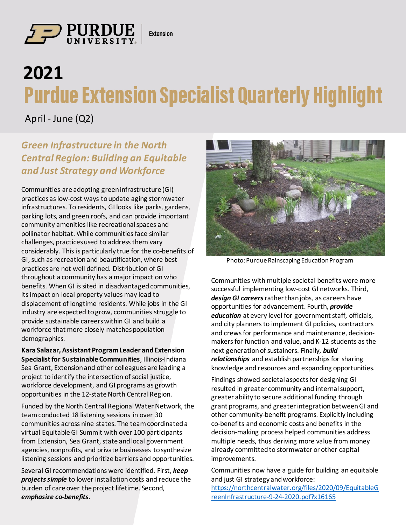

 $\frac{1}{\sqrt{2}}$  is  $\frac{1}{\sqrt{2}}$  is  $\frac{1}{\sqrt{2}}$  is  $\frac{1}{\sqrt{2}}$  is  $\frac{1}{\sqrt{2}}$  is  $\frac{1}{\sqrt{2}}$  is  $\frac{1}{\sqrt{2}}$  is  $\frac{1}{\sqrt{2}}$  is  $\frac{1}{\sqrt{2}}$  is  $\frac{1}{\sqrt{2}}$  is  $\frac{1}{\sqrt{2}}$  is  $\frac{1}{\sqrt{2}}$  is  $\frac{1}{\sqrt{2}}$  is  $\frac{1}{\sqrt{2}}$ 

## **2021 Purdue Extension Specialist Quarterly Highlight**

April - June (Q2)

## *Green Infrastructure in the North Central Region: Building an Equitable and Just Strategy and Workforce*

Communities are adopting green infrastructure (GI) practices as low-cost ways to update aging stormwater infrastructures. To residents, GI looks like parks, gardens, parking lots, and green roofs, and can provide important community amenities like recreational spaces and pollinator habitat. While communities face similar challenges, practices used to address them vary considerably. This is particularly true for the co-benefits of GI, such as recreation and beautification, where best practices are not well defined. Distribution of GI throughout a community has a major impact on who benefits. When GI is sited in disadvantaged communities, its impact on local property values may lead to displacement of longtime residents. While jobs in the GI industry are expected to grow, communities struggle to provide sustainable careers within GI and build a workforce that more closely matches population demographics.

**Kara Salazar, Assistant Program Leader and Extension Specialist for Sustainable Communities**, Illinois-Indiana Sea Grant, Extension and other colleagues are leading a project to identify the intersection of social justice, workforce development, and GI programs as growth opportunities in the 12-state North Central Region.

Funded by the North Central Regional Water Network, the team conducted 18 listening sessions in over 30 communities across nine states. The team coordinated a virtual Equitable GI Summit with over 100 participants from Extension, Sea Grant, state and local government agencies, nonprofits, and private businesses to synthesize listening sessions and prioritize barriers and opportunities.

Several GI recommendations were identified. First, *keep projects simple* to lower installation costs and reduce the burden of care over the project lifetime. Second, *emphasize co-benefits*.



Photo: Purdue Rainscaping Education Program

Communities with multiple societal benefits were more successful implementing low-cost GI networks. Third, *design GI careers*rather than jobs, as careers have opportunities for advancement. Fourth, *provide education* at every level for government staff, officials, and city planners to implement GI policies, contractors and crews for performance and maintenance, decisionmakers for function and value, and K-12 students as the next generation of sustainers. Finally, *build relationships* and establish partnerships for sharing knowledge and resources and expanding opportunities.

Findings showed societal aspects for designing GI resulted in greater community and internal support, greater ability to secure additional funding through grant programs, and greater integration between GI and other community-benefit programs. Explicitly including co-benefits and economic costs and benefits in the decision-making process helped communities address multiple needs, thus deriving more value from money already committed to stormwater or other capital improvements.

Communities now have a guide for building an equitable and just GI strategy and workforce: [https://northcentralwater.org/files/2020/09/EquitableG](https://northcentralwater.org/files/2020/09/EquitableGreenInfrastructure-9-24-2020.pdf?x16165) reenInfrastructure-9-24-2020.pdf?x16165